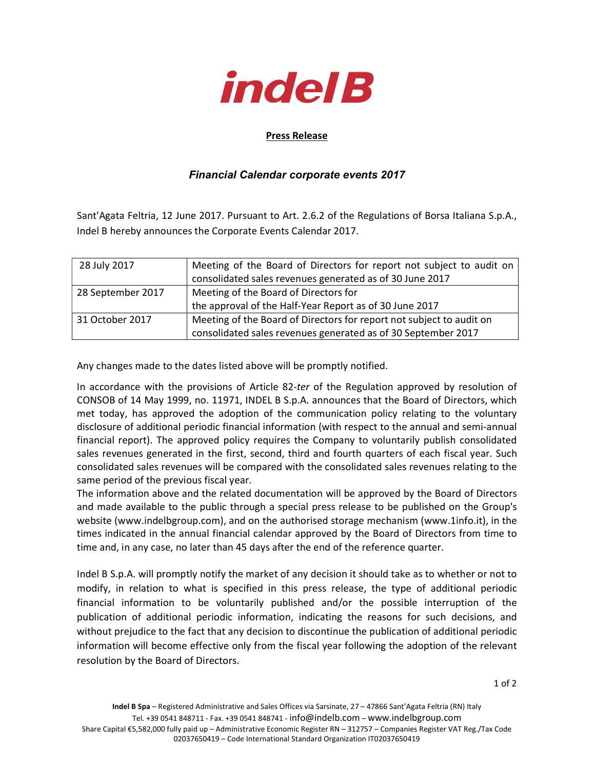

## Press Release

## Financial Calendar corporate events 2017

Sant'Agata Feltria, 12 June 2017. Pursuant to Art. 2.6.2 of the Regulations of Borsa Italiana S.p.A., Indel B hereby announces the Corporate Events Calendar 2017.

| 28 July 2017      | Meeting of the Board of Directors for report not subject to audit on<br>consolidated sales revenues generated as of 30 June 2017 |  |
|-------------------|----------------------------------------------------------------------------------------------------------------------------------|--|
| 28 September 2017 | Meeting of the Board of Directors for                                                                                            |  |
|                   | the approval of the Half-Year Report as of 30 June 2017                                                                          |  |
| 31 October 2017   | Meeting of the Board of Directors for report not subject to audit on                                                             |  |
|                   | consolidated sales revenues generated as of 30 September 2017                                                                    |  |

Any changes made to the dates listed above will be promptly notified.

In accordance with the provisions of Article 82-ter of the Regulation approved by resolution of CONSOB of 14 May 1999, no. 11971, INDEL B S.p.A. announces that the Board of Directors, which met today, has approved the adoption of the communication policy relating to the voluntary disclosure of additional periodic financial information (with respect to the annual and semi-annual financial report). The approved policy requires the Company to voluntarily publish consolidated sales revenues generated in the first, second, third and fourth quarters of each fiscal year. Such consolidated sales revenues will be compared with the consolidated sales revenues relating to the same period of the previous fiscal year.

The information above and the related documentation will be approved by the Board of Directors and made available to the public through a special press release to be published on the Group's website (www.indelbgroup.com), and on the authorised storage mechanism (www.1info.it), in the times indicated in the annual financial calendar approved by the Board of Directors from time to time and, in any case, no later than 45 days after the end of the reference quarter.

Indel B S.p.A. will promptly notify the market of any decision it should take as to whether or not to modify, in relation to what is specified in this press release, the type of additional periodic financial information to be voluntarily published and/or the possible interruption of the publication of additional periodic information, indicating the reasons for such decisions, and without prejudice to the fact that any decision to discontinue the publication of additional periodic information will become effective only from the fiscal year following the adoption of the relevant resolution by the Board of Directors.